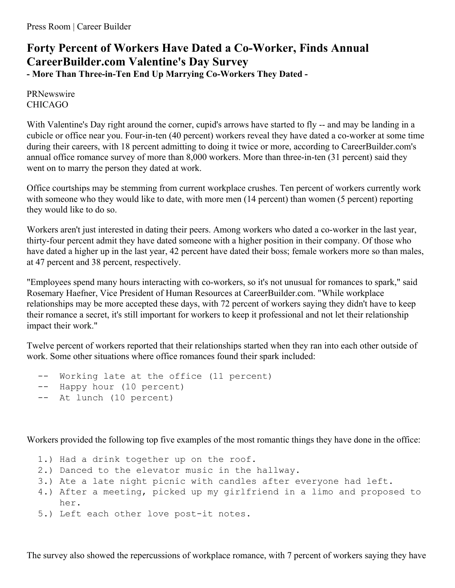## **Forty Percent of Workers Have Dated a Co-Worker, Finds Annual CareerBuilder.com Valentine's Day Survey - More Than Three-in-Ten End Up Marrying Co-Workers They Dated -**

PRNewswire CHICAGO

With Valentine's Day right around the corner, cupid's arrows have started to fly -- and may be landing in a cubicle or office near you. Four-in-ten (40 percent) workers reveal they have dated a co-worker at some time during their careers, with 18 percent admitting to doing it twice or more, according to CareerBuilder.com's annual office romance survey of more than 8,000 workers. More than three-in-ten (31 percent) said they went on to marry the person they dated at work.

Office courtships may be stemming from current workplace crushes. Ten percent of workers currently work with someone who they would like to date, with more men (14 percent) than women (5 percent) reporting they would like to do so.

Workers aren't just interested in dating their peers. Among workers who dated a co-worker in the last year, thirty-four percent admit they have dated someone with a higher position in their company. Of those who have dated a higher up in the last year, 42 percent have dated their boss; female workers more so than males, at 47 percent and 38 percent, respectively.

"Employees spend many hours interacting with co-workers, so it's not unusual for romances to spark," said Rosemary Haefner, Vice President of Human Resources at CareerBuilder.com. "While workplace relationships may be more accepted these days, with 72 percent of workers saying they didn't have to keep their romance a secret, it's still important for workers to keep it professional and not let their relationship impact their work."

Twelve percent of workers reported that their relationships started when they ran into each other outside of work. Some other situations where office romances found their spark included:

```
-- Working late at the office (11 percent)
-- Happy hour (10 percent)
-- At lunch (10 percent)
```
Workers provided the following top five examples of the most romantic things they have done in the office:

- 1.) Had a drink together up on the roof.
- 2.) Danced to the elevator music in the hallway.
- 3.) Ate a late night picnic with candles after everyone had left.
- 4.) After a meeting, picked up my girlfriend in a limo and proposed to her.
- 5.) Left each other love post-it notes.

The survey also showed the repercussions of workplace romance, with 7 percent of workers saying they have